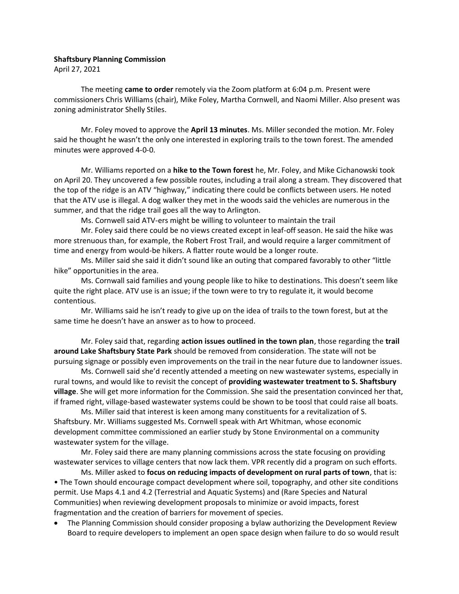## **Shaftsbury Planning Commission**

April 27, 2021

The meeting **came to order** remotely via the Zoom platform at 6:04 p.m. Present were commissioners Chris Williams (chair), Mike Foley, Martha Cornwell, and Naomi Miller. Also present was zoning administrator Shelly Stiles.

Mr. Foley moved to approve the **April 13 minutes**. Ms. Miller seconded the motion. Mr. Foley said he thought he wasn't the only one interested in exploring trails to the town forest. The amended minutes were approved 4-0-0.

Mr. Williams reported on a **hike to the Town forest** he, Mr. Foley, and Mike Cichanowski took on April 20. They uncovered a few possible routes, including a trail along a stream. They discovered that the top of the ridge is an ATV "highway," indicating there could be conflicts between users. He noted that the ATV use is illegal. A dog walker they met in the woods said the vehicles are numerous in the summer, and that the ridge trail goes all the way to Arlington.

Ms. Cornwell said ATV-ers might be willing to volunteer to maintain the trail

Mr. Foley said there could be no views created except in leaf-off season. He said the hike was more strenuous than, for example, the Robert Frost Trail, and would require a larger commitment of time and energy from would-be hikers. A flatter route would be a longer route.

Ms. Miller said she said it didn't sound like an outing that compared favorably to other "little hike" opportunities in the area.

Ms. Cornwall said families and young people like to hike to destinations. This doesn't seem like quite the right place. ATV use is an issue; if the town were to try to regulate it, it would become contentious.

Mr. Williams said he isn't ready to give up on the idea of trails to the town forest, but at the same time he doesn't have an answer as to how to proceed.

Mr. Foley said that, regarding **action issues outlined in the town plan**, those regarding the **trail around Lake Shaftsbury State Park** should be removed from consideration. The state will not be pursuing signage or possibly even improvements on the trail in the near future due to landowner issues.

Ms. Cornwell said she'd recently attended a meeting on new wastewater systems, especially in rural towns, and would like to revisit the concept of **providing wastewater treatment to S. Shaftsbury village**. She will get more information for the Commission. She said the presentation convinced her that, if framed right, village-based wastewater systems could be shown to be toosl that could raise all boats.

Ms. Miller said that interest is keen among many constituents for a revitalization of S. Shaftsbury. Mr. Williams suggested Ms. Cornwell speak with Art Whitman, whose economic development committee commissioned an earlier study by Stone Environmental on a community wastewater system for the village.

Mr. Foley said there are many planning commissions across the state focusing on providing wastewater services to village centers that now lack them. VPR recently did a program on such efforts.

Ms. Miller asked to **focus on reducing impacts of development on rural parts of town**, that is: • The Town should encourage compact development where soil, topography, and other site conditions permit. Use Maps 4.1 and 4.2 (Terrestrial and Aquatic Systems) and (Rare Species and Natural Communities) when reviewing development proposals to minimize or avoid impacts, forest fragmentation and the creation of barriers for movement of species.

• The Planning Commission should consider proposing a bylaw authorizing the Development Review Board to require developers to implement an open space design when failure to do so would result